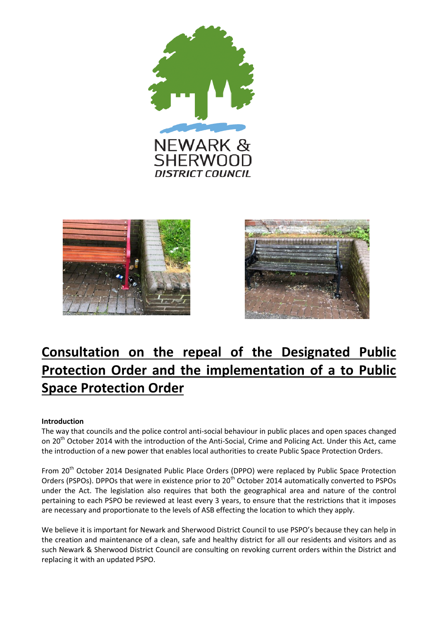





# **Consultation on the repeal of the Designated Public Protection Order and the implementation of a to Public Space Protection Order**

## **Introduction**

The way that councils and the police control anti-social behaviour in public places and open spaces changed on 20<sup>th</sup> October 2014 with the introduction of the Anti-Social, Crime and Policing Act. Under this Act, came the introduction of a new power that enables local authorities to create Public Space Protection Orders.

From 20<sup>th</sup> October 2014 Designated Public Place Orders (DPPO) were replaced by Public Space Protection Orders (PSPOs). DPPOs that were in existence prior to 20<sup>th</sup> October 2014 automatically converted to PSPOs under the Act. The legislation also requires that both the geographical area and nature of the control pertaining to each PSPO be reviewed at least every 3 years, to ensure that the restrictions that it imposes are necessary and proportionate to the levels of ASB effecting the location to which they apply.

We believe it is important for Newark and Sherwood District Council to use PSPO's because they can help in the creation and maintenance of a clean, safe and healthy district for all our residents and visitors and as such Newark & Sherwood District Council are consulting on revoking current orders within the District and replacing it with an updated PSPO.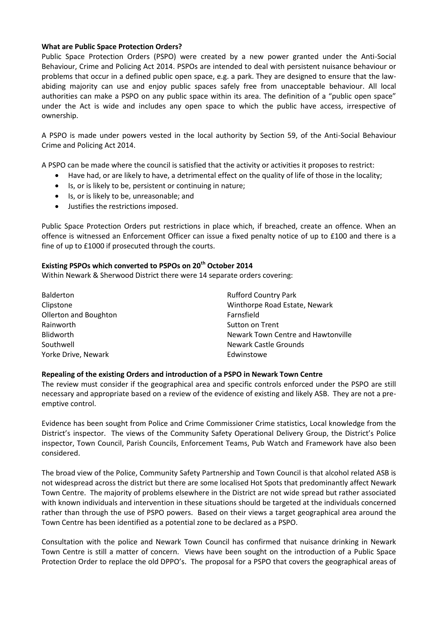## **What are Public Space Protection Orders?**

Public Space Protection Orders (PSPO) were created by a new power granted under the Anti-Social Behaviour, Crime and Policing Act 2014. PSPOs are intended to deal with persistent nuisance behaviour or problems that occur in a defined public open space, e.g. a park. They are designed to ensure that the lawabiding majority can use and enjoy public spaces safely free from unacceptable behaviour. All local authorities can make a PSPO on any public space within its area. The definition of a "public open space" under the Act is wide and includes any open space to which the public have access, irrespective of ownership.

A PSPO is made under powers vested in the local authority by Section 59, of the Anti-Social Behaviour Crime and Policing Act 2014.

A PSPO can be made where the council is satisfied that the activity or activities it proposes to restrict:

- Have had, or are likely to have, a detrimental effect on the quality of life of those in the locality;
- Is, or is likely to be, persistent or continuing in nature;
- Is, or is likely to be, unreasonable; and
- Justifies the restrictions imposed.

Public Space Protection Orders put restrictions in place which, if breached, create an offence. When an offence is witnessed an Enforcement Officer can issue a fixed penalty notice of up to £100 and there is a fine of up to £1000 if prosecuted through the courts.

## **Existing PSPOs which converted to PSPOs on 20th October 2014**

Within Newark & Sherwood District there were 14 separate orders covering:

| Balderton             | <b>Rufford Country Park</b>        |
|-----------------------|------------------------------------|
| Clipstone             | Winthorpe Road Estate, Newark      |
| Ollerton and Boughton | Farnsfield                         |
| Rainworth             | Sutton on Trent                    |
| Blidworth             | Newark Town Centre and Hawtonville |
| Southwell             | <b>Newark Castle Grounds</b>       |
| Yorke Drive, Newark   | Edwinstowe                         |

## **Repealing of the existing Orders and introduction of a PSPO in Newark Town Centre**

The review must consider if the geographical area and specific controls enforced under the PSPO are still necessary and appropriate based on a review of the evidence of existing and likely ASB. They are not a preemptive control.

Evidence has been sought from Police and Crime Commissioner Crime statistics, Local knowledge from the District's inspector. The views of the Community Safety Operational Delivery Group, the District's Police inspector, Town Council, Parish Councils, Enforcement Teams, Pub Watch and Framework have also been considered.

The broad view of the Police, Community Safety Partnership and Town Council is that alcohol related ASB is not widespread across the district but there are some localised Hot Spots that predominantly affect Newark Town Centre. The majority of problems elsewhere in the District are not wide spread but rather associated with known individuals and intervention in these situations should be targeted at the individuals concerned rather than through the use of PSPO powers. Based on their views a target geographical area around the Town Centre has been identified as a potential zone to be declared as a PSPO.

Consultation with the police and Newark Town Council has confirmed that nuisance drinking in Newark Town Centre is still a matter of concern. Views have been sought on the introduction of a Public Space Protection Order to replace the old DPPO's. The proposal for a PSPO that covers the geographical areas of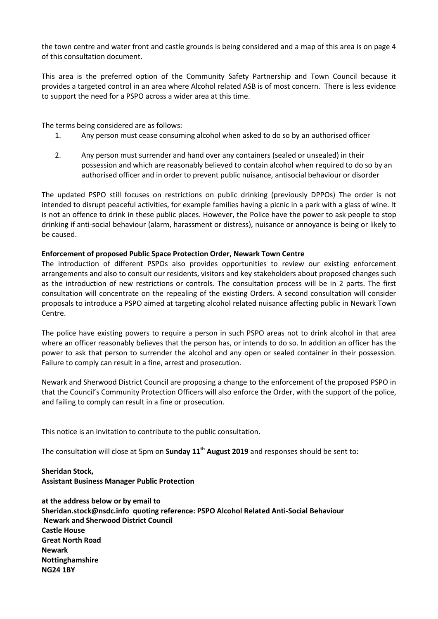the town centre and water front and castle grounds is being considered and a map of this area is on page 4 of this consultation document.

This area is the preferred option of the Community Safety Partnership and Town Council because it provides a targeted control in an area where Alcohol related ASB is of most concern. There is less evidence to support the need for a PSPO across a wider area at this time.

The terms being considered are as follows:

- 1. Any person must cease consuming alcohol when asked to do so by an authorised officer
- 2. Any person must surrender and hand over any containers (sealed or unsealed) in their possession and which are reasonably believed to contain alcohol when required to do so by an authorised officer and in order to prevent public nuisance, antisocial behaviour or disorder

The updated PSPO still focuses on restrictions on public drinking (previously DPPOs) The order is not intended to disrupt peaceful activities, for example families having a picnic in a park with a glass of wine. It is not an offence to drink in these public places. However, the Police have the power to ask people to stop drinking if anti-social behaviour (alarm, harassment or distress), nuisance or annoyance is being or likely to be caused.

## **Enforcement of proposed Public Space Protection Order, Newark Town Centre**

The introduction of different PSPOs also provides opportunities to review our existing enforcement arrangements and also to consult our residents, visitors and key stakeholders about proposed changes such as the introduction of new restrictions or controls. The consultation process will be in 2 parts. The first consultation will concentrate on the repealing of the existing Orders. A second consultation will consider proposals to introduce a PSPO aimed at targeting alcohol related nuisance affecting public in Newark Town Centre.

The police have existing powers to require a person in such PSPO areas not to drink alcohol in that area where an officer reasonably believes that the person has, or intends to do so. In addition an officer has the power to ask that person to surrender the alcohol and any open or sealed container in their possession. Failure to comply can result in a fine, arrest and prosecution.

Newark and Sherwood District Council are proposing a change to the enforcement of the proposed PSPO in that the Council's Community Protection Officers will also enforce the Order, with the support of the police, and failing to comply can result in a fine or prosecution.

This notice is an invitation to contribute to the public consultation.

The consultation will close at 5pm on **Sunday 11th August 2019** and responses should be sent to:

**Sheridan Stock, Assistant Business Manager Public Protection**

**at the address below or by email to Sheridan.stock@nsdc.info quoting reference: PSPO Alcohol Related Anti-Social Behaviour Newark and Sherwood District Council Castle House Great North Road Newark Nottinghamshire NG24 1BY**